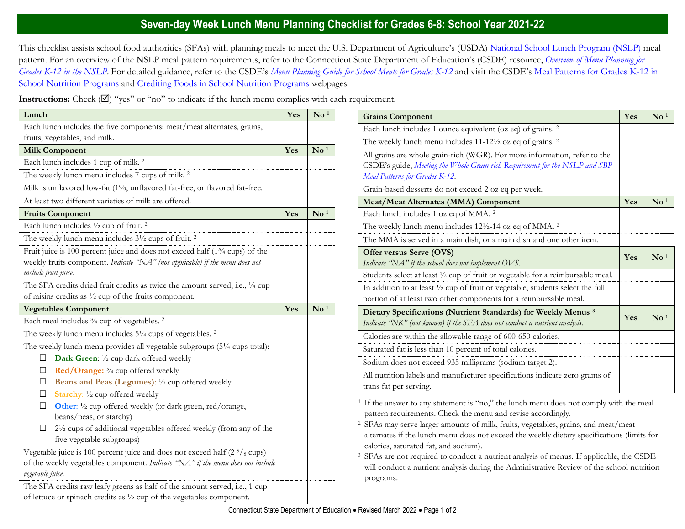## **Seven-day Week Lunch Menu Planning Checklist for Grades 6-8: School Year 2021-22**

This checklist assists school food authorities (SFAs) with planning meals to meet the U.S. Department of Agriculture's (USDA) [National School Lunch Program \(NSLP\)](https://portal.ct.gov/SDE/Nutrition/National-School-Lunch-Program) meal pattern. For an overview of the NSLP meal pattern requirements, refer to the Connecticut State Department of Education's (CSDE) resource, *[Overview of Menu Planning for](https://portal.ct.gov/-/media/SDE/Nutrition/NSLP/MealPattern/Overview_Menu_Planning_NSLP_grades_K-12.pdf)  [Grades K-12 in the NSLP](https://portal.ct.gov/-/media/SDE/Nutrition/NSLP/MealPattern/Overview_Menu_Planning_NSLP_grades_K-12.pdf)*. For detailed guidance, refer to the CSDE's *[Menu Planning Guide for School Meals for Grades K-12](https://portal.ct.gov/SDE/Nutrition/Menu-Planning-Guide-for-School-Meals)* and visit the CSDE's [Meal Patterns for Grades K-12 in](https://portal.ct.gov/SDE/Nutrition/Meal-Patterns-School-Nutrition-Programs)  [School Nutrition Programs](https://portal.ct.gov/SDE/Nutrition/Meal-Patterns-School-Nutrition-Programs) and [Crediting Foods in School Nutrition Programs](https://portal.ct.gov/SDE/Nutrition/Crediting-Foods-in-School-Nutrition-Programs) webpages*.*

**Instructions:** Check  $(\mathbb{Z})$  "yes" or "no" to indicate if the lunch menu complies with each requirement.

| Lunch                                                                                                                                                                                             | Yes | $\mathrm{No}\,{}^{1}$               |
|---------------------------------------------------------------------------------------------------------------------------------------------------------------------------------------------------|-----|-------------------------------------|
| Each lunch includes the five components: meat/meat alternates, grains,                                                                                                                            |     |                                     |
| fruits, vegetables, and milk.                                                                                                                                                                     |     |                                     |
| <b>Milk Component</b>                                                                                                                                                                             | Yes | $\mathbf{N}\mathbf{o}$ <sup>1</sup> |
| Each lunch includes 1 cup of milk. <sup>2</sup>                                                                                                                                                   |     |                                     |
| The weekly lunch menu includes 7 cups of milk. <sup>2</sup>                                                                                                                                       |     |                                     |
| Milk is unflavored low-fat (1%, unflavored fat-free, or flavored fat-free.                                                                                                                        |     |                                     |
| At least two different varieties of milk are offered.                                                                                                                                             |     |                                     |
| <b>Fruits Component</b>                                                                                                                                                                           | Yes | $\mathbf{N}\mathbf{o}$ <sup>1</sup> |
| Each lunch includes 1/2 cup of fruit. <sup>2</sup>                                                                                                                                                |     |                                     |
| The weekly lunch menu includes 3 <sup>1</sup> / <sub>2</sub> cups of fruit. <sup>2</sup>                                                                                                          |     |                                     |
| Fruit juice is 100 percent juice and does not exceed half (1 <sup>3</sup> /4 cups) of the<br>weekly fruits component. Indicate "NA" (not applicable) if the menu does not<br>include fruit juice. |     |                                     |
| The SFA credits dried fruit credits as twice the amount served, i.e., 1/4 cup<br>of raisins credits as $\frac{1}{2}$ cup of the fruits component.                                                 |     |                                     |
| <b>Vegetables Component</b>                                                                                                                                                                       | Yes | $\mathrm{No}$ <sup>1</sup>          |
| Each meal includes 3/4 cup of vegetables. <sup>2</sup>                                                                                                                                            |     |                                     |
| The weekly lunch menu includes 51/4 cups of vegetables. <sup>2</sup>                                                                                                                              |     |                                     |
| The weekly lunch menu provides all vegetable subgroups (51/4 cups total):<br>Dark Green: 1/2 cup dark offered weekly<br>□                                                                         |     |                                     |
| Red/Orange: 3/4 cup offered weekly<br>□                                                                                                                                                           |     |                                     |
| Beans and Peas (Legumes): 1/2 cup offered weekly<br>$\Box$                                                                                                                                        |     |                                     |
| Starchy: 1/2 cup offered weekly<br>□                                                                                                                                                              |     |                                     |
| □<br>Other: 1/2 cup offered weekly (or dark green, red/orange,<br>beans/peas, or starchy)                                                                                                         |     |                                     |
| 21/2 cups of additional vegetables offered weekly (from any of the<br>□<br>five vegetable subgroups)                                                                                              |     |                                     |
| Vegetable juice is 100 percent juice and does not exceed half $(25/s \text{ cups})$<br>of the weekly vegetables component. Indicate "NA" if the menu does not include<br>vegetable juice.         |     |                                     |
| The SFA credits raw leafy greens as half of the amount served, i.e., 1 cup<br>of lettuce or spinach credits as $\frac{1}{2}$ cup of the vegetables component.                                     |     |                                     |

| <b>Grains Component</b>                                                                                                                                                                    | Yes | $\mathbf{N}\mathbf{o}$ <sup>1</sup> |
|--------------------------------------------------------------------------------------------------------------------------------------------------------------------------------------------|-----|-------------------------------------|
| Each lunch includes 1 ounce equivalent (oz eq) of grains. <sup>2</sup>                                                                                                                     |     |                                     |
| The weekly lunch menu includes $11-12\frac{1}{2}$ oz eq of grains. <sup>2</sup>                                                                                                            |     |                                     |
| All grains are whole grain-rich (WGR). For more information, refer to the<br>CSDE's guide, Meeting the Whole Grain-rich Requirement for the NSLP and SBP<br>Meal Patterns for Grades K-12. |     |                                     |
| Grain-based desserts do not exceed 2 oz eq per week.                                                                                                                                       |     |                                     |
| <b>Meat/Meat Alternates (MMA) Component</b>                                                                                                                                                | Yes | $\mathrm{No}$ <sup>1</sup>          |
| Each lunch includes 1 oz eq of MMA. <sup>2</sup>                                                                                                                                           |     |                                     |
| The weekly lunch menu includes $12\frac{1}{2}$ -14 oz eq of MMA. <sup>2</sup>                                                                                                              |     |                                     |
| The MMA is served in a main dish, or a main dish and one other item.                                                                                                                       |     |                                     |
| Offer versus Serve (OVS)<br>Indicate "NA" if the school does not implement OVS.                                                                                                            | Yes | $\mathrm{No}^{1}$                   |
| Students select at least 1/2 cup of fruit or vegetable for a reimbursable meal.                                                                                                            |     |                                     |
| In addition to at least 1/2 cup of fruit or vegetable, students select the full<br>portion of at least two other components for a reimbursable meal.                                       |     |                                     |
| Dietary Specifications (Nutrient Standards) for Weekly Menus <sup>3</sup><br>Indicate "NK" (not known) if the SFA does not conduct a nutrient analysis.                                    | Yes | $\mathrm{No}^{1}$                   |
| Calories are within the allowable range of 600-650 calories.                                                                                                                               |     |                                     |
| Saturated fat is less than 10 percent of total calories.                                                                                                                                   |     |                                     |
| Sodium does not exceed 935 milligrams (sodium target 2).                                                                                                                                   |     |                                     |
| All nutrition labels and manufacturer specifications indicate zero grams of<br>trans fat per serving.                                                                                      |     |                                     |

<sup>1</sup> If the answer to any statement is "no," the lunch menu does not comply with the meal pattern requirements. Check the menu and revise accordingly.

<sup>2</sup>SFAs may serve larger amounts of milk, fruits, vegetables, grains, and meat/meat alternates if the lunch menu does not exceed the weekly dietary specifications (limits for calories, saturated fat, and sodium).

<sup>3</sup> SFAs are not required to conduct a nutrient analysis of menus. If applicable, the CSDE will conduct a nutrient analysis during the Administrative Review of the school nutrition programs.